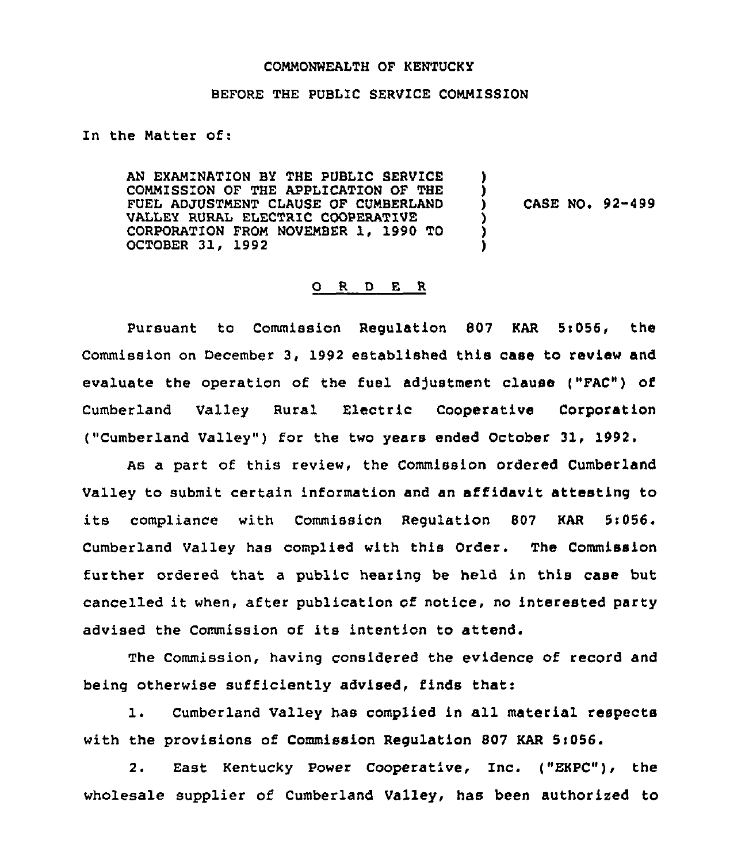#### COMMONWEALTH OF KENTUCKY

## BEFORE THE PUBLIC SERVICE COMMISSION

In the Matter of:

AN EXAMINATION BY THE PUBLIC SERVICE COMMISSION OF THE APPLICATION OF THE FUEL ADJUSTMENT CLAUSE OF CUMBERLAND VALLEY RURAL ELECTRIC COOPERATIVE CORPORATION FROM NOVEMBER 1, 1990 TO OCTOBER 31, 1992 ) )<br>) ) CASE NO, 92-499 ) ) )

## 0 R <sup>D</sup> E R

Pursuant to Commission Requlation 807 KAR 5:056, the Commission on December 3, 1992 established this case to review and evaluate the operation of the fuel adjustment clause ("FAC") of Cumberland Valley Rural Electric Cooperative Corporation ("Cumberland Valley") for the two years ended October 31, 1992.

As a part of this review, the Commission ordered Cumberland Valley to submit certain information and an affidavit attesting to its compliance with Commission Regulation <sup>807</sup> KAR 5i056. Cumberland Valley has complied with this Order. The Commission further ordered that a public hearing be held in this case but cancelled it when, after publication of notice, no interested party advised the Commission of its intention to attend.

The Commission, having considered the evidence of record and being otherwise sufficiently advised, finds that:

1. Cumberland Valley has complied in all material respects with the provisions of Commission Requlation 807 KAR 5:056.

2. East Kentucky Power cooperative, Inc. ("EKPc"), the wholesale supplier of Cumberland Valley, has been authorized to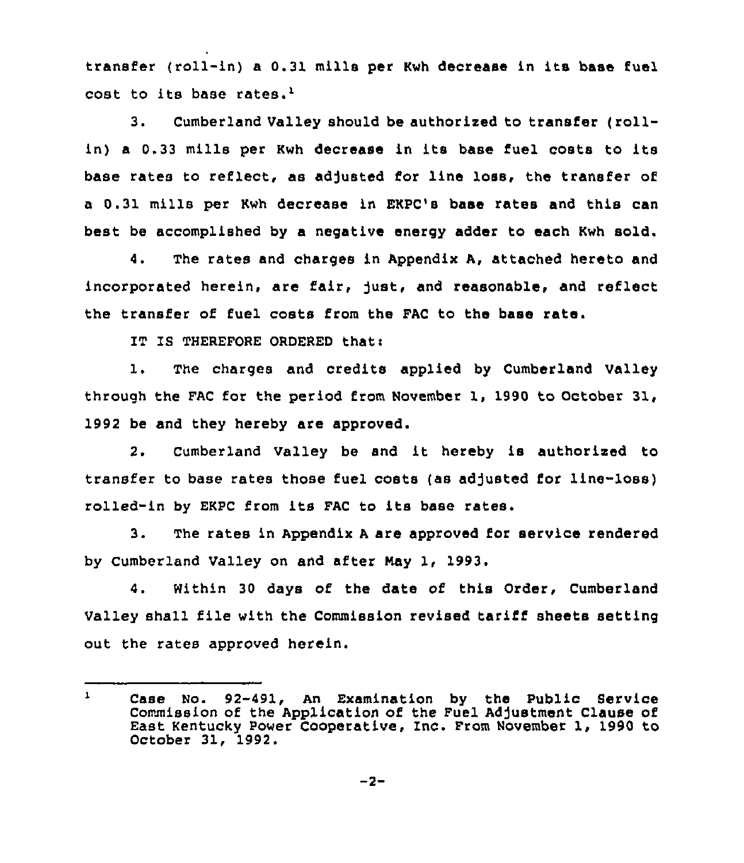transfer {roll-in) <sup>a</sup> 6.31 mills per Kwh decrease in its base fuel cost to its base rates.<sup>1</sup>

 $3.$ Cumberland Valley should be authorized to transfer (rollin) <sup>a</sup> 0.33 mills per Kwh decrease in its base fuel costa to its base rates to reflect, as adjusted for line loss, the transfer of <sup>a</sup> 0.31 mills per Kwh decrease in EKPC's base rates and this can best be accomplished by a negative energy adder to each Kwh sold.

4. The rates and charges in Appendix A, attached hereto and incorporated herein, are fair, )ust, and reasonable, and reflect the transfer of fuel costs from the FAC to the base rate.

IT IS THEREFORE ORDERED that:

1. The charges and credits applied by Cumberland Valley through the FAC for the period from November 1, 1990 to October 31, 1992 be and they hereby are approved.

2. Cumberland Valley be and it hereby is authorized to transfer to base rates those fuel costs (as adjusted for line-loss) rolled-in by EKPC from its FAC to its base rates.

3. The rates in Appendix <sup>A</sup> are approved for service rendered by Cumberland Valley on and after Nay 1, 1993.

4. Within 30 days of the date of this Order, Cumberland Valley shall file with the Commission revised tariff sheets setting out the rates approved herein.

 $\mathbf{1}$ Case No. 92-491, An Examination by the Public Rervice Commission of the Application of the Fuel Adjustment Clause of East Kentucky Power Cooperative, Inc. From November 1, 1990 to October 31, 1992.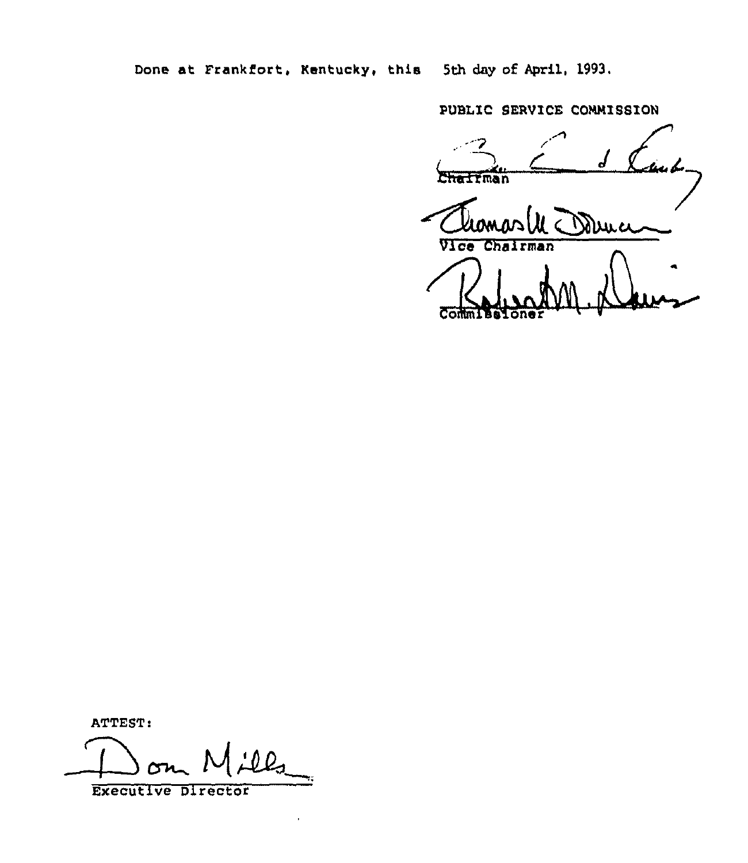Done at Frankfort, Kentucky, this 5th day of April, 1993.

PUBLIC SERVICE COMMISSION

d -lui b Chairman اعتدى  $\delta \Omega$  $Cha$  $r$ man Comm

ATTEST:

 $10<sub>1</sub>$ 

Executive Director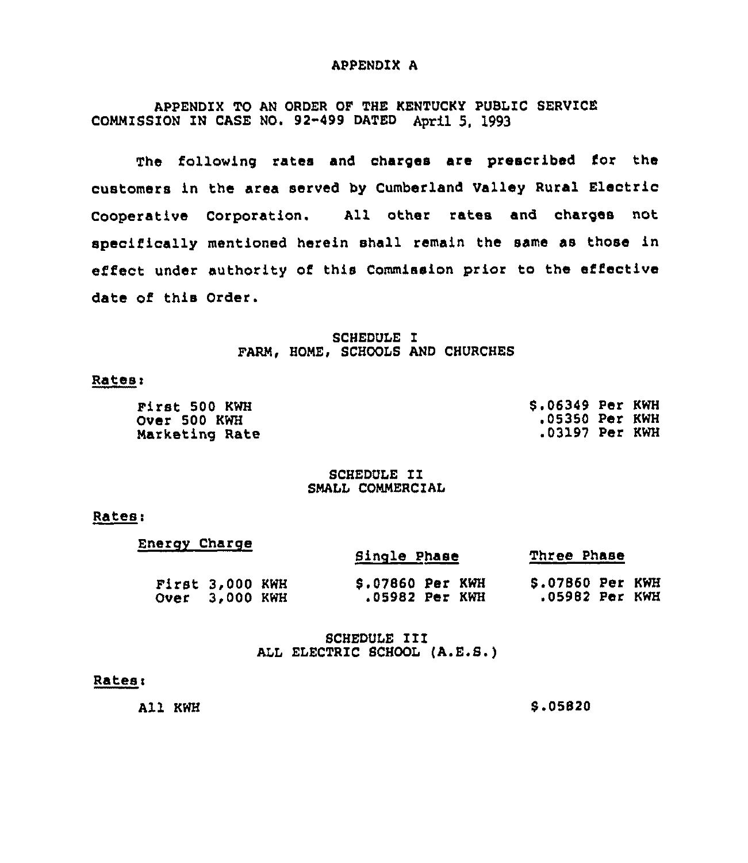### APPENDIX A

APPENDIX TO AN ORDER OF THE KENTUCKY PUBLIC SERVICE COMMISSION IN CASE NO. 92-499 DATED April 5, 1993

The following rates and charges are prescribed for the customers in the area served by Cumberland Valley Rural Electric Cooperative Corporation. All other rates and charges not specifically mentioned herein shall remain the same as those in effect under authority of this Commission prior to the effective date of this Order.

## SCHEDULE I FARM, HOME, SCHOOLS AND CHURCHES

# Ratesi

First 500 KWH Over 500 KWH Marketing Rate \$ .06349 Per KWH .05350 Per KWH .03197 Per KWH

## SCHEDULE II SMALL COMMERCIAL

#### Rates:

| Energy Charge                     |  | Single Phase                       |  |  | Three Phase                         |  |  |
|-----------------------------------|--|------------------------------------|--|--|-------------------------------------|--|--|
| First 3,000 KWH<br>Over 3,000 KWH |  | \$.07860 Per KWH<br>.05982 Per KWH |  |  | S.07860 Per KWH<br>$.05982$ Per KWH |  |  |

SCHEDULE III ALL ELECTRIC SCHOOL (A.E.S.)

#### Ratesi

All KWH

S.05820